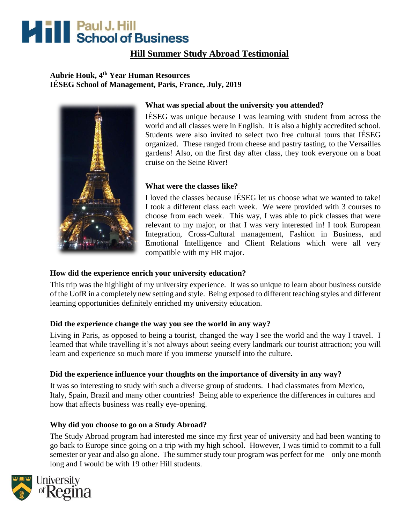# **Hill School of Business**

# **Hill Summer Study Abroad Testimonial**

## **Aubrie Houk, 4th Year Human Resources IÉSEG School of Management, Paris, France, July, 2019**



## **What was special about the university you attended?**

IÉSEG was unique because I was learning with student from across the world and all classes were in English. It is also a highly accredited school. Students were also invited to select two free cultural tours that IÉSEG organized. These ranged from cheese and pastry tasting, to the Versailles gardens! Also, on the first day after class, they took everyone on a boat cruise on the Seine River!

#### **What were the classes like?**

I loved the classes because IÉSEG let us choose what we wanted to take! I took a different class each week. We were provided with 3 courses to choose from each week. This way, I was able to pick classes that were relevant to my major, or that I was very interested in! I took European Integration, Cross-Cultural management, Fashion in Business, and Emotional Intelligence and Client Relations which were all very compatible with my HR major.

# **How did the experience enrich your university education?**

This trip was the highlight of my university experience. It was so unique to learn about business outside of the UofR in a completely new setting and style. Being exposed to different teaching styles and different learning opportunities definitely enriched my university education.

#### **Did the experience change the way you see the world in any way?**

Living in Paris, as opposed to being a tourist, changed the way I see the world and the way I travel. I learned that while travelling it's not always about seeing every landmark our tourist attraction; you will learn and experience so much more if you immerse yourself into the culture.

#### **Did the experience influence your thoughts on the importance of diversity in any way?**

It was so interesting to study with such a diverse group of students. I had classmates from Mexico, Italy, Spain, Brazil and many other countries! Being able to experience the differences in cultures and how that affects business was really eye-opening.

#### **Why did you choose to go on a Study Abroad?**

The Study Abroad program had interested me since my first year of university and had been wanting to go back to Europe since going on a trip with my high school. However, I was timid to commit to a full semester or year and also go alone. The summer study tour program was perfect for me – only one month long and I would be with 19 other Hill students.